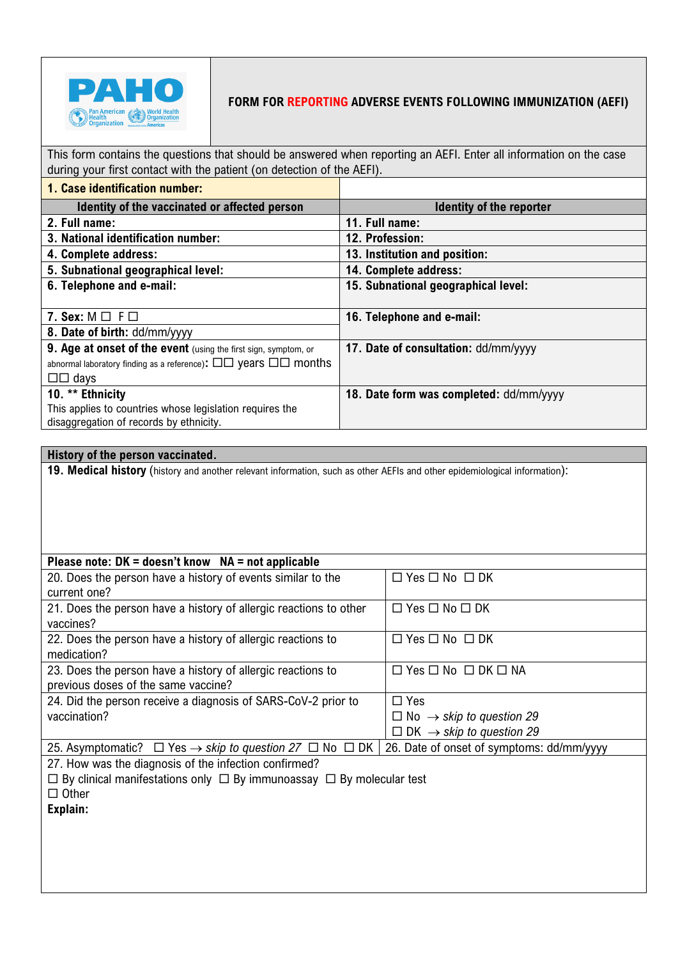

## **FORM FOR REPORTING ADVERSE EVENTS FOLLOWING IMMUNIZATION (AEFI)**

This form contains the questions that should be answered when reporting an AEFI. Enter all information on the case during your first contact with the patient (on detection of the AEFI).

| 1. Case identification number:                                                                |                                         |
|-----------------------------------------------------------------------------------------------|-----------------------------------------|
| Identity of the vaccinated or affected person                                                 | <b>Identity of the reporter</b>         |
| 2. Full name:                                                                                 | 11. Full name:                          |
| 3. National identification number:                                                            | 12. Profession:                         |
| 4. Complete address:                                                                          | 13. Institution and position:           |
| 5. Subnational geographical level:                                                            | 14. Complete address:                   |
| 6. Telephone and e-mail:                                                                      | 15. Subnational geographical level:     |
|                                                                                               |                                         |
| 7. Sex: $M \square F \square$                                                                 | 16. Telephone and e-mail:               |
| 8. Date of birth: dd/mm/yyyy                                                                  |                                         |
| 9. Age at onset of the event (using the first sign, symptom, or                               | 17. Date of consultation: dd/mm/yyyy    |
| abnormal laboratory finding as a reference): $\square \square$ years $\square \square$ months |                                         |
| $\Box \Box$ days                                                                              |                                         |
| 10. ** Ethnicity                                                                              | 18. Date form was completed: dd/mm/yyyy |
| This applies to countries whose legislation requires the                                      |                                         |
| disaggregation of records by ethnicity.                                                       |                                         |

## **History of the person vaccinated.**

**19. Medical history** (history and another relevant information, such as other AEFIs and other epidemiological information):

| Please note: $DK = doesn't know NA = not applicable$                               |                                             |
|------------------------------------------------------------------------------------|---------------------------------------------|
| 20. Does the person have a history of events similar to the                        | $\Box$ Yes $\Box$ No $\Box$ DK              |
| current one?                                                                       |                                             |
| 21. Does the person have a history of allergic reactions to other                  | $\Box$ Yes $\Box$ No $\Box$ DK              |
| vaccines?                                                                          |                                             |
| 22. Does the person have a history of allergic reactions to                        | $\Box$ Yes $\Box$ No $\Box$ DK              |
| medication?                                                                        |                                             |
| 23. Does the person have a history of allergic reactions to                        | $\Box$ Yes $\Box$ No $\Box$ DK $\Box$ NA    |
| previous doses of the same vaccine?                                                |                                             |
| 24. Did the person receive a diagnosis of SARS-CoV-2 prior to                      | $\Box$ Yes                                  |
| vaccination?                                                                       | $\Box$ No $\rightarrow$ skip to question 29 |
|                                                                                    | $\Box$ DK $\rightarrow$ skip to question 29 |
| 25. Asymptomatic? $\Box$ Yes $\rightarrow$ skip to question 27 $\Box$ No $\Box$ DK | 26. Date of onset of symptoms: dd/mm/yyyy   |

27. How was the diagnosis of the infection confirmed?

 $\Box$  By clinical manifestations only  $\Box$  By immunoassay  $\Box$  By molecular test

 $\Box$  Other

**Explain:**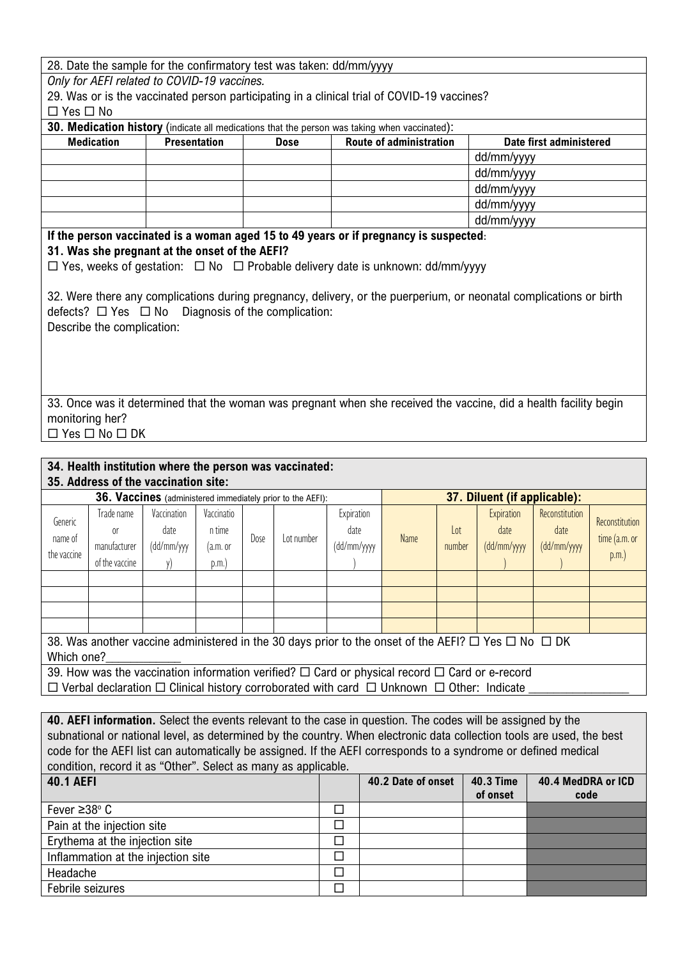|                      |                                                         |                     |            |      |                                                            | 28. Date the sample for the confirmatory test was taken: dd/mm/yyyy                           |                         |                 |                                                                                                                    |                         |                           |
|----------------------|---------------------------------------------------------|---------------------|------------|------|------------------------------------------------------------|-----------------------------------------------------------------------------------------------|-------------------------|-----------------|--------------------------------------------------------------------------------------------------------------------|-------------------------|---------------------------|
|                      | Only for AEFI related to COVID-19 vaccines.             |                     |            |      |                                                            |                                                                                               |                         |                 |                                                                                                                    |                         |                           |
|                      |                                                         |                     |            |      |                                                            | 29. Was or is the vaccinated person participating in a clinical trial of COVID-19 vaccines?   |                         |                 |                                                                                                                    |                         |                           |
| $\Box$ Yes $\Box$ No |                                                         |                     |            |      |                                                            |                                                                                               |                         |                 |                                                                                                                    |                         |                           |
|                      |                                                         |                     |            |      |                                                            | 30. Medication history (indicate all medications that the person was taking when vaccinated): |                         |                 |                                                                                                                    |                         |                           |
|                      | <b>Medication</b>                                       | <b>Presentation</b> |            |      | <b>Dose</b>                                                |                                                                                               | Route of administration |                 |                                                                                                                    | Date first administered |                           |
|                      |                                                         |                     |            |      |                                                            |                                                                                               |                         |                 | dd/mm/yyyy                                                                                                         |                         |                           |
|                      |                                                         |                     |            |      |                                                            |                                                                                               |                         |                 | dd/mm/yyyy                                                                                                         |                         |                           |
|                      |                                                         |                     |            |      |                                                            |                                                                                               |                         |                 | dd/mm/yyyy                                                                                                         |                         |                           |
|                      |                                                         |                     |            |      |                                                            |                                                                                               |                         |                 | dd/mm/yyyy                                                                                                         |                         |                           |
|                      |                                                         |                     |            |      |                                                            |                                                                                               |                         |                 | dd/mm/yyyy                                                                                                         |                         |                           |
|                      |                                                         |                     |            |      |                                                            | If the person vaccinated is a woman aged 15 to 49 years or if pregnancy is suspected:         |                         |                 |                                                                                                                    |                         |                           |
|                      | 31. Was she pregnant at the onset of the AEFI?          |                     |            |      |                                                            |                                                                                               |                         |                 |                                                                                                                    |                         |                           |
|                      |                                                         |                     |            |      |                                                            | □ Yes, weeks of gestation: □ No □ Probable delivery date is unknown: dd/mm/yyyy               |                         |                 |                                                                                                                    |                         |                           |
|                      |                                                         |                     |            |      |                                                            |                                                                                               |                         |                 |                                                                                                                    |                         |                           |
|                      |                                                         |                     |            |      |                                                            |                                                                                               |                         |                 | 32. Were there any complications during pregnancy, delivery, or the puerperium, or neonatal complications or birth |                         |                           |
|                      | defects? $\Box$ Yes $\Box$ No                           |                     |            |      | Diagnosis of the complication:                             |                                                                                               |                         |                 |                                                                                                                    |                         |                           |
|                      | Describe the complication:                              |                     |            |      |                                                            |                                                                                               |                         |                 |                                                                                                                    |                         |                           |
|                      |                                                         |                     |            |      |                                                            |                                                                                               |                         |                 |                                                                                                                    |                         |                           |
|                      |                                                         |                     |            |      |                                                            |                                                                                               |                         |                 |                                                                                                                    |                         |                           |
|                      |                                                         |                     |            |      |                                                            |                                                                                               |                         |                 |                                                                                                                    |                         |                           |
|                      |                                                         |                     |            |      |                                                            |                                                                                               |                         |                 |                                                                                                                    |                         |                           |
|                      |                                                         |                     |            |      |                                                            |                                                                                               |                         |                 | 33. Once was it determined that the woman was pregnant when she received the vaccine, did a health facility begin  |                         |                           |
| monitoring her?      |                                                         |                     |            |      |                                                            |                                                                                               |                         |                 |                                                                                                                    |                         |                           |
|                      | $\Box$ Yes $\Box$ No $\Box$ DK                          |                     |            |      |                                                            |                                                                                               |                         |                 |                                                                                                                    |                         |                           |
|                      |                                                         |                     |            |      |                                                            |                                                                                               |                         |                 |                                                                                                                    |                         |                           |
|                      | 34. Health institution where the person was vaccinated: |                     |            |      |                                                            |                                                                                               |                         |                 |                                                                                                                    |                         |                           |
|                      | 35. Address of the vaccination site:                    |                     |            |      |                                                            |                                                                                               |                         |                 |                                                                                                                    |                         |                           |
|                      |                                                         |                     |            |      | 36. Vaccines (administered immediately prior to the AEFI): |                                                                                               |                         |                 | 37. Diluent (if applicable):                                                                                       |                         |                           |
|                      | Trade name                                              | Vaccination         | Vaccinatio |      |                                                            | Expiration                                                                                    |                         |                 | Expiration                                                                                                         | Reconstitution          |                           |
| Generic              | 0 <sup>r</sup>                                          | date                | n time     |      |                                                            | date                                                                                          |                         | $_{\text{Lot}}$ | date                                                                                                               | date                    | Reconstitution            |
| name of              | manufacturer                                            | (dd/mm/yyy          |            | Dose | Lot number                                                 |                                                                                               | <b>Name</b>             |                 |                                                                                                                    |                         |                           |
| the vaccine          |                                                         |                     | (a.m. or   |      |                                                            | (dd/mm/yyyy                                                                                   |                         | number          | (dd/mm/yyyy                                                                                                        | (dd/mm/yyyy             | time (a.m. or<br>$p.m.$ ) |

38. Was another vaccine administered in the 30 days prior to the onset of the AEFI?  $\Box$  Yes  $\Box$  No  $\Box$  DK Which one?

39. How was the vaccination information verified?  $\Box$  Card or physical record  $\Box$  Card or e-record  $\Box$  Verbal declaration  $\Box$  Clinical history corroborated with card  $\Box$  Unknown  $\Box$  Other: Indicate

**40. AEFI information.** Select the events relevant to the case in question. The codes will be assigned by the subnational or national level, as determined by the country. When electronic data collection tools are used, the best code for the AEFI list can automatically be assigned. If the AEFI corresponds to a syndrome or defined medical condition, record it as "Other". Select as many as applicable.

| <b>40.1 AEFI</b>                   | 40.2 Date of onset | <b>40.3 Time</b> | 40.4 MedDRA or ICD |
|------------------------------------|--------------------|------------------|--------------------|
|                                    |                    | of onset         | code               |
| Fever $\geq 38^{\circ}$ C          |                    |                  |                    |
| Pain at the injection site         |                    |                  |                    |
| Erythema at the injection site     |                    |                  |                    |
| Inflammation at the injection site |                    |                  |                    |
| Headache                           |                    |                  |                    |
| Febrile seizures                   |                    |                  |                    |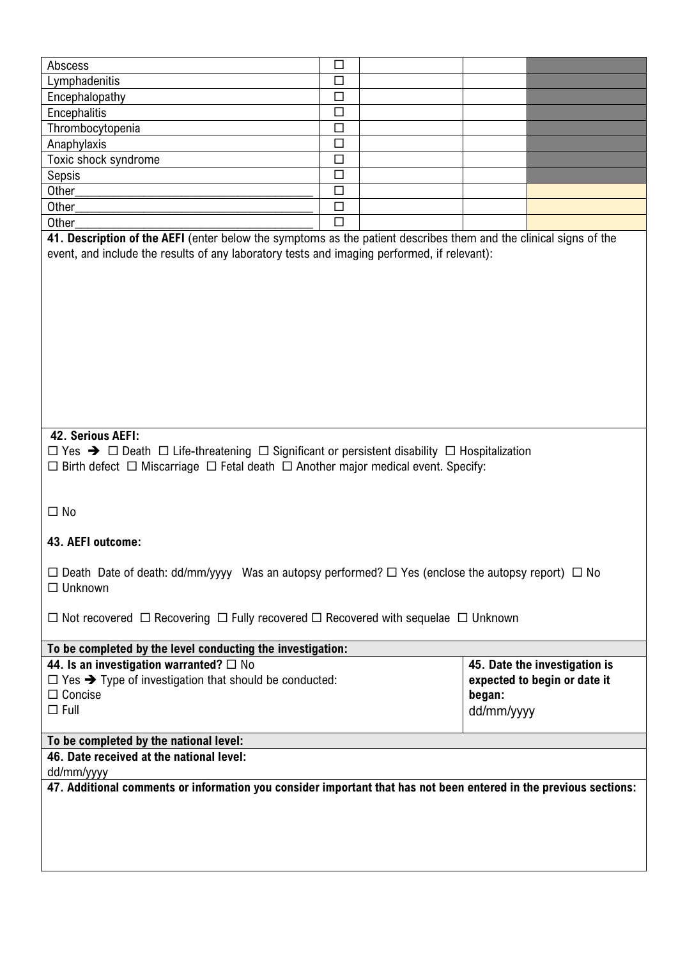| Abscess                                                                                                                                                                                                                                                                         | □      |                      |                                                               |
|---------------------------------------------------------------------------------------------------------------------------------------------------------------------------------------------------------------------------------------------------------------------------------|--------|----------------------|---------------------------------------------------------------|
| Lymphadenitis                                                                                                                                                                                                                                                                   | $\Box$ |                      |                                                               |
| Encephalopathy                                                                                                                                                                                                                                                                  | $\Box$ |                      |                                                               |
| Encephalitis                                                                                                                                                                                                                                                                    | $\Box$ |                      |                                                               |
| Thrombocytopenia                                                                                                                                                                                                                                                                | $\Box$ |                      |                                                               |
| Anaphylaxis                                                                                                                                                                                                                                                                     | $\Box$ |                      |                                                               |
| Toxic shock syndrome                                                                                                                                                                                                                                                            | $\Box$ |                      |                                                               |
| Sepsis                                                                                                                                                                                                                                                                          | $\Box$ |                      |                                                               |
| Other                                                                                                                                                                                                                                                                           | $\Box$ |                      |                                                               |
| Other                                                                                                                                                                                                                                                                           | $\Box$ |                      |                                                               |
| Other<br>41. Description of the AEFI (enter below the symptoms as the patient describes them and the clinical signs of the                                                                                                                                                      | $\Box$ |                      |                                                               |
|                                                                                                                                                                                                                                                                                 |        |                      |                                                               |
| 42. Serious AEFI:<br>$\Box$ Yes $\rightarrow$ $\Box$ Death $\Box$ Life-threatening $\Box$ Significant or persistent disability $\Box$ Hospitalization<br>$\Box$ Birth defect $\Box$ Miscarriage $\Box$ Fetal death $\Box$ Another major medical event. Specify:<br>$\square$ No |        |                      |                                                               |
| 43. AEFI outcome:                                                                                                                                                                                                                                                               |        |                      |                                                               |
| $\Box$ Death Date of death: dd/mm/yyyy Was an autopsy performed? $\Box$ Yes (enclose the autopsy report) $\Box$ No<br>$\Box$ Unknown                                                                                                                                            |        |                      |                                                               |
| $\Box$ Not recovered $\Box$ Recovering $\Box$ Fully recovered $\Box$ Recovered with sequelae $\Box$ Unknown                                                                                                                                                                     |        |                      |                                                               |
| To be completed by the level conducting the investigation:                                                                                                                                                                                                                      |        |                      |                                                               |
| 44. Is an investigation warranted? $\Box$ No<br>$\Box$ Yes $\rightarrow$ Type of investigation that should be conducted:<br>$\Box$ Concise<br>$\Box$ Full                                                                                                                       |        | began:<br>dd/mm/yyyy | 45. Date the investigation is<br>expected to begin or date it |
| To be completed by the national level:                                                                                                                                                                                                                                          |        |                      |                                                               |
| 46. Date received at the national level:                                                                                                                                                                                                                                        |        |                      |                                                               |
| dd/mm/yyyy<br>47. Additional comments or information you consider important that has not been entered in the previous sections:                                                                                                                                                 |        |                      |                                                               |
|                                                                                                                                                                                                                                                                                 |        |                      |                                                               |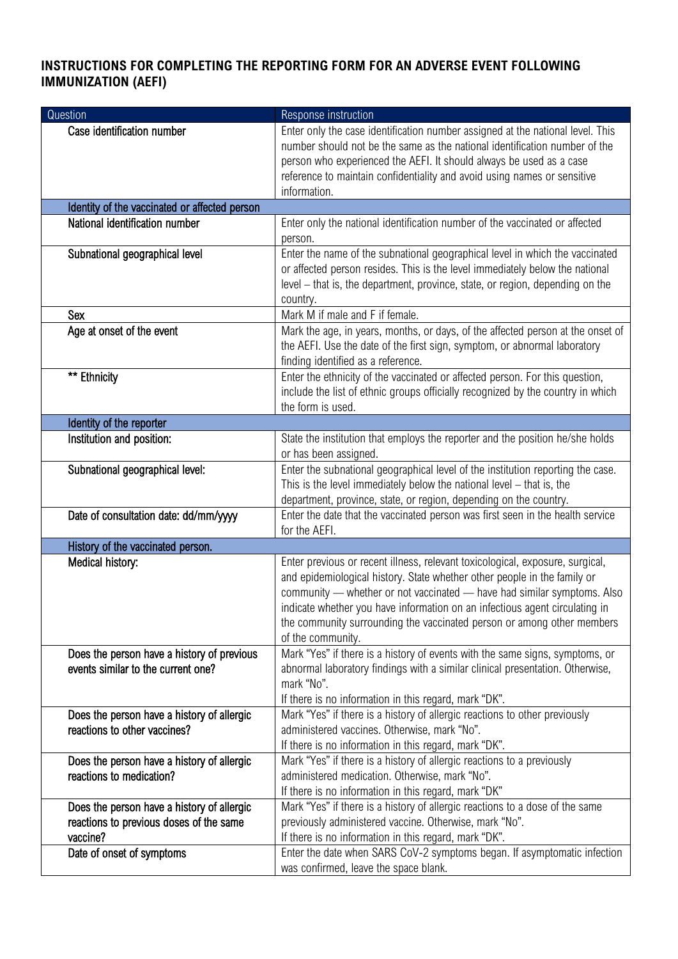## **INSTRUCTIONS FOR COMPLETING THE REPORTING FORM FOR AN ADVERSE EVENT FOLLOWING IMMUNIZATION (AEFI)**

| Question                                                                              | Response instruction                                                                                                                                                                                                                                                                                                                                                                                               |
|---------------------------------------------------------------------------------------|--------------------------------------------------------------------------------------------------------------------------------------------------------------------------------------------------------------------------------------------------------------------------------------------------------------------------------------------------------------------------------------------------------------------|
| Case identification number                                                            | Enter only the case identification number assigned at the national level. This<br>number should not be the same as the national identification number of the<br>person who experienced the AEFI. It should always be used as a case<br>reference to maintain confidentiality and avoid using names or sensitive<br>information.                                                                                    |
| Identity of the vaccinated or affected person                                         |                                                                                                                                                                                                                                                                                                                                                                                                                    |
| National identification number                                                        | Enter only the national identification number of the vaccinated or affected<br>person.                                                                                                                                                                                                                                                                                                                             |
| Subnational geographical level                                                        | Enter the name of the subnational geographical level in which the vaccinated<br>or affected person resides. This is the level immediately below the national<br>level - that is, the department, province, state, or region, depending on the<br>country.                                                                                                                                                          |
| Sex                                                                                   | Mark M if male and F if female.                                                                                                                                                                                                                                                                                                                                                                                    |
| Age at onset of the event                                                             | Mark the age, in years, months, or days, of the affected person at the onset of<br>the AEFI. Use the date of the first sign, symptom, or abnormal laboratory<br>finding identified as a reference.                                                                                                                                                                                                                 |
| ** Ethnicity                                                                          | Enter the ethnicity of the vaccinated or affected person. For this question,<br>include the list of ethnic groups officially recognized by the country in which<br>the form is used.                                                                                                                                                                                                                               |
| Identity of the reporter                                                              |                                                                                                                                                                                                                                                                                                                                                                                                                    |
| Institution and position:                                                             | State the institution that employs the reporter and the position he/she holds<br>or has been assigned.                                                                                                                                                                                                                                                                                                             |
| Subnational geographical level:<br>Date of consultation date: dd/mm/yyyy              | Enter the subnational geographical level of the institution reporting the case.<br>This is the level immediately below the national level $-$ that is, the<br>department, province, state, or region, depending on the country.<br>Enter the date that the vaccinated person was first seen in the health service                                                                                                  |
|                                                                                       | for the AEFI.                                                                                                                                                                                                                                                                                                                                                                                                      |
| History of the vaccinated person.                                                     |                                                                                                                                                                                                                                                                                                                                                                                                                    |
| Medical history:                                                                      | Enter previous or recent illness, relevant toxicological, exposure, surgical,<br>and epidemiological history. State whether other people in the family or<br>community - whether or not vaccinated - have had similar symptoms. Also<br>indicate whether you have information on an infectious agent circulating in<br>the community surrounding the vaccinated person or among other members<br>of the community. |
| Does the person have a history of previous<br>events similar to the current one?      | Mark "Yes" if there is a history of events with the same signs, symptoms, or<br>abnormal laboratory findings with a similar clinical presentation. Otherwise,<br>mark "No".<br>If there is no information in this regard, mark "DK".                                                                                                                                                                               |
| Does the person have a history of allergic                                            | Mark "Yes" if there is a history of allergic reactions to other previously                                                                                                                                                                                                                                                                                                                                         |
| reactions to other vaccines?                                                          | administered vaccines. Otherwise, mark "No".                                                                                                                                                                                                                                                                                                                                                                       |
|                                                                                       | If there is no information in this regard, mark "DK".                                                                                                                                                                                                                                                                                                                                                              |
| Does the person have a history of allergic                                            | Mark "Yes" if there is a history of allergic reactions to a previously                                                                                                                                                                                                                                                                                                                                             |
| reactions to medication?                                                              | administered medication. Otherwise, mark "No".                                                                                                                                                                                                                                                                                                                                                                     |
|                                                                                       | If there is no information in this regard, mark "DK"                                                                                                                                                                                                                                                                                                                                                               |
| Does the person have a history of allergic<br>reactions to previous doses of the same | Mark "Yes" if there is a history of allergic reactions to a dose of the same<br>previously administered vaccine. Otherwise, mark "No".                                                                                                                                                                                                                                                                             |
| vaccine?                                                                              | If there is no information in this regard, mark "DK".                                                                                                                                                                                                                                                                                                                                                              |
| Date of onset of symptoms                                                             | Enter the date when SARS CoV-2 symptoms began. If asymptomatic infection                                                                                                                                                                                                                                                                                                                                           |
|                                                                                       | was confirmed, leave the space blank.                                                                                                                                                                                                                                                                                                                                                                              |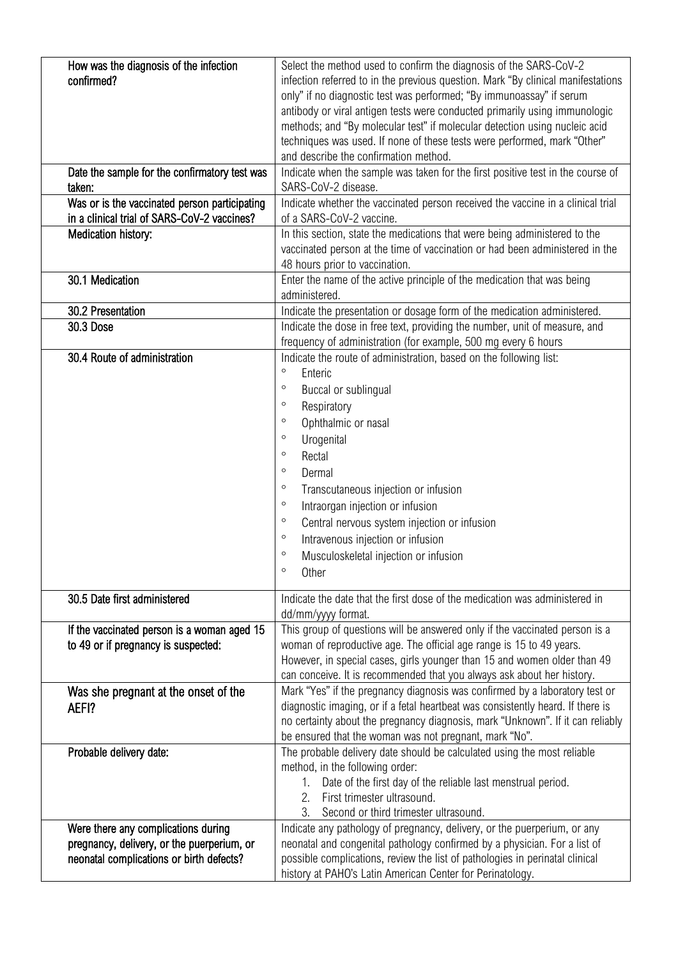| How was the diagnosis of the infection<br>confirmed?<br>Date the sample for the confirmatory test was<br>taken:<br>Was or is the vaccinated person participating<br>in a clinical trial of SARS-CoV-2 vaccines?<br>Medication history: | Select the method used to confirm the diagnosis of the SARS-CoV-2<br>infection referred to in the previous question. Mark "By clinical manifestations<br>only" if no diagnostic test was performed; "By immunoassay" if serum<br>antibody or viral antigen tests were conducted primarily using immunologic<br>methods; and "By molecular test" if molecular detection using nucleic acid<br>techniques was used. If none of these tests were performed, mark "Other"<br>and describe the confirmation method.<br>Indicate when the sample was taken for the first positive test in the course of<br>SARS-CoV-2 disease.<br>Indicate whether the vaccinated person received the vaccine in a clinical trial<br>of a SARS-CoV-2 vaccine.<br>In this section, state the medications that were being administered to the<br>vaccinated person at the time of vaccination or had been administered in the<br>48 hours prior to vaccination. |
|----------------------------------------------------------------------------------------------------------------------------------------------------------------------------------------------------------------------------------------|-----------------------------------------------------------------------------------------------------------------------------------------------------------------------------------------------------------------------------------------------------------------------------------------------------------------------------------------------------------------------------------------------------------------------------------------------------------------------------------------------------------------------------------------------------------------------------------------------------------------------------------------------------------------------------------------------------------------------------------------------------------------------------------------------------------------------------------------------------------------------------------------------------------------------------------------|
| 30.1 Medication                                                                                                                                                                                                                        | Enter the name of the active principle of the medication that was being<br>administered.                                                                                                                                                                                                                                                                                                                                                                                                                                                                                                                                                                                                                                                                                                                                                                                                                                                |
| 30.2 Presentation                                                                                                                                                                                                                      | Indicate the presentation or dosage form of the medication administered.                                                                                                                                                                                                                                                                                                                                                                                                                                                                                                                                                                                                                                                                                                                                                                                                                                                                |
| <b>30.3 Dose</b>                                                                                                                                                                                                                       | Indicate the dose in free text, providing the number, unit of measure, and                                                                                                                                                                                                                                                                                                                                                                                                                                                                                                                                                                                                                                                                                                                                                                                                                                                              |
|                                                                                                                                                                                                                                        | frequency of administration (for example, 500 mg every 6 hours                                                                                                                                                                                                                                                                                                                                                                                                                                                                                                                                                                                                                                                                                                                                                                                                                                                                          |
| 30.4 Route of administration                                                                                                                                                                                                           | Indicate the route of administration, based on the following list:<br>$\circ$<br>Enteric<br>$\circ$<br>Buccal or sublingual<br>$\circ$<br>Respiratory<br>$\circ$<br>Ophthalmic or nasal<br>$\circ$<br>Urogenital<br>$\circ$<br>Rectal<br>$\circ$<br>Dermal<br>$\circ$<br>Transcutaneous injection or infusion<br>$\circ$<br>Intraorgan injection or infusion<br>$\circ$<br>Central nervous system injection or infusion<br>$\circ$<br>Intravenous injection or infusion<br>$\circ$<br>Musculoskeletal injection or infusion<br>$\circ$<br>Other                                                                                                                                                                                                                                                                                                                                                                                         |
| 30.5 Date first administered                                                                                                                                                                                                           | Indicate the date that the first dose of the medication was administered in<br>dd/mm/yyyy format.                                                                                                                                                                                                                                                                                                                                                                                                                                                                                                                                                                                                                                                                                                                                                                                                                                       |
| If the vaccinated person is a woman aged 15<br>to 49 or if pregnancy is suspected:                                                                                                                                                     | This group of questions will be answered only if the vaccinated person is a<br>woman of reproductive age. The official age range is 15 to 49 years.<br>However, in special cases, girls younger than 15 and women older than 49<br>can conceive. It is recommended that you always ask about her history.                                                                                                                                                                                                                                                                                                                                                                                                                                                                                                                                                                                                                               |
| Was she pregnant at the onset of the<br>AEFI?                                                                                                                                                                                          | Mark "Yes" if the pregnancy diagnosis was confirmed by a laboratory test or<br>diagnostic imaging, or if a fetal heartbeat was consistently heard. If there is<br>no certainty about the pregnancy diagnosis, mark "Unknown". If it can reliably<br>be ensured that the woman was not pregnant, mark "No".                                                                                                                                                                                                                                                                                                                                                                                                                                                                                                                                                                                                                              |
| Probable delivery date:                                                                                                                                                                                                                | The probable delivery date should be calculated using the most reliable<br>method, in the following order:<br>Date of the first day of the reliable last menstrual period.<br>1.<br>First trimester ultrasound.<br>2.<br>Second or third trimester ultrasound.                                                                                                                                                                                                                                                                                                                                                                                                                                                                                                                                                                                                                                                                          |
| Were there any complications during<br>pregnancy, delivery, or the puerperium, or<br>neonatal complications or birth defects?                                                                                                          | Indicate any pathology of pregnancy, delivery, or the puerperium, or any<br>neonatal and congenital pathology confirmed by a physician. For a list of<br>possible complications, review the list of pathologies in perinatal clinical<br>history at PAHO's Latin American Center for Perinatology.                                                                                                                                                                                                                                                                                                                                                                                                                                                                                                                                                                                                                                      |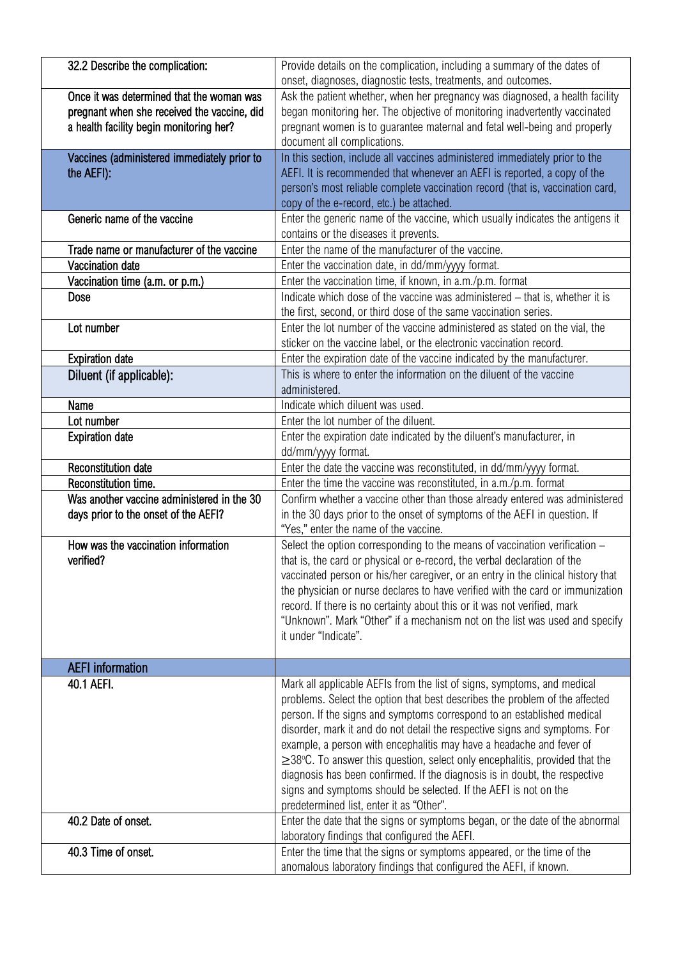| 32.2 Describe the complication:                                                                                                     | Provide details on the complication, including a summary of the dates of<br>onset, diagnoses, diagnostic tests, treatments, and outcomes.                                                                                               |
|-------------------------------------------------------------------------------------------------------------------------------------|-----------------------------------------------------------------------------------------------------------------------------------------------------------------------------------------------------------------------------------------|
| Once it was determined that the woman was<br>pregnant when she received the vaccine, did<br>a health facility begin monitoring her? | Ask the patient whether, when her pregnancy was diagnosed, a health facility<br>began monitoring her. The objective of monitoring inadvertently vaccinated<br>pregnant women is to guarantee maternal and fetal well-being and properly |
|                                                                                                                                     | document all complications.                                                                                                                                                                                                             |
| Vaccines (administered immediately prior to                                                                                         | In this section, include all vaccines administered immediately prior to the<br>AEFI. It is recommended that whenever an AEFI is reported, a copy of the                                                                                 |
| the AEFI):                                                                                                                          | person's most reliable complete vaccination record (that is, vaccination card,                                                                                                                                                          |
|                                                                                                                                     | copy of the e-record, etc.) be attached.                                                                                                                                                                                                |
| Generic name of the vaccine                                                                                                         | Enter the generic name of the vaccine, which usually indicates the antigens it                                                                                                                                                          |
|                                                                                                                                     | contains or the diseases it prevents.                                                                                                                                                                                                   |
| Trade name or manufacturer of the vaccine                                                                                           | Enter the name of the manufacturer of the vaccine.                                                                                                                                                                                      |
| Vaccination date                                                                                                                    | Enter the vaccination date, in dd/mm/yyyy format.                                                                                                                                                                                       |
| Vaccination time (a.m. or p.m.)                                                                                                     | Enter the vaccination time, if known, in a.m./p.m. format                                                                                                                                                                               |
| Dose                                                                                                                                | Indicate which dose of the vaccine was administered - that is, whether it is                                                                                                                                                            |
|                                                                                                                                     | the first, second, or third dose of the same vaccination series.                                                                                                                                                                        |
| Lot number                                                                                                                          | Enter the lot number of the vaccine administered as stated on the vial, the                                                                                                                                                             |
|                                                                                                                                     | sticker on the vaccine label, or the electronic vaccination record.                                                                                                                                                                     |
| <b>Expiration date</b>                                                                                                              | Enter the expiration date of the vaccine indicated by the manufacturer.                                                                                                                                                                 |
| Diluent (if applicable):                                                                                                            | This is where to enter the information on the diluent of the vaccine                                                                                                                                                                    |
|                                                                                                                                     | administered.                                                                                                                                                                                                                           |
| Name                                                                                                                                | Indicate which diluent was used.                                                                                                                                                                                                        |
| Lot number                                                                                                                          | Enter the lot number of the diluent.                                                                                                                                                                                                    |
| <b>Expiration date</b>                                                                                                              | Enter the expiration date indicated by the diluent's manufacturer, in                                                                                                                                                                   |
|                                                                                                                                     | dd/mm/yyyy format.                                                                                                                                                                                                                      |
| <b>Reconstitution date</b>                                                                                                          | Enter the date the vaccine was reconstituted, in dd/mm/yyyy format.                                                                                                                                                                     |
| Reconstitution time.                                                                                                                | Enter the time the vaccine was reconstituted, in a.m./p.m. format                                                                                                                                                                       |
| Was another vaccine administered in the 30                                                                                          | Confirm whether a vaccine other than those already entered was administered<br>in the 30 days prior to the onset of symptoms of the AEFI in question. If                                                                                |
| days prior to the onset of the AEFI?                                                                                                | "Yes," enter the name of the vaccine.                                                                                                                                                                                                   |
| How was the vaccination information                                                                                                 | Select the option corresponding to the means of vaccination verification -                                                                                                                                                              |
| verified?                                                                                                                           | that is, the card or physical or e-record, the verbal declaration of the                                                                                                                                                                |
|                                                                                                                                     | vaccinated person or his/her caregiver, or an entry in the clinical history that                                                                                                                                                        |
|                                                                                                                                     | the physician or nurse declares to have verified with the card or immunization                                                                                                                                                          |
|                                                                                                                                     | record. If there is no certainty about this or it was not verified, mark                                                                                                                                                                |
|                                                                                                                                     | "Unknown". Mark "Other" if a mechanism not on the list was used and specify                                                                                                                                                             |
|                                                                                                                                     | it under "Indicate".                                                                                                                                                                                                                    |
|                                                                                                                                     |                                                                                                                                                                                                                                         |
| <b>AEFI</b> information                                                                                                             |                                                                                                                                                                                                                                         |
| 40.1 AEFI.                                                                                                                          | Mark all applicable AEFIs from the list of signs, symptoms, and medical                                                                                                                                                                 |
|                                                                                                                                     | problems. Select the option that best describes the problem of the affected                                                                                                                                                             |
|                                                                                                                                     | person. If the signs and symptoms correspond to an established medical                                                                                                                                                                  |
|                                                                                                                                     | disorder, mark it and do not detail the respective signs and symptoms. For                                                                                                                                                              |
|                                                                                                                                     | example, a person with encephalitis may have a headache and fever of                                                                                                                                                                    |
|                                                                                                                                     | $\geq$ 38°C. To answer this question, select only encephalitis, provided that the<br>diagnosis has been confirmed. If the diagnosis is in doubt, the respective                                                                         |
|                                                                                                                                     | signs and symptoms should be selected. If the AEFI is not on the                                                                                                                                                                        |
|                                                                                                                                     | predetermined list, enter it as "Other".                                                                                                                                                                                                |
| 40.2 Date of onset.                                                                                                                 | Enter the date that the signs or symptoms began, or the date of the abnormal                                                                                                                                                            |
|                                                                                                                                     | laboratory findings that configured the AEFI.                                                                                                                                                                                           |
| 40.3 Time of onset.                                                                                                                 | Enter the time that the signs or symptoms appeared, or the time of the                                                                                                                                                                  |
|                                                                                                                                     | anomalous laboratory findings that configured the AEFI, if known.                                                                                                                                                                       |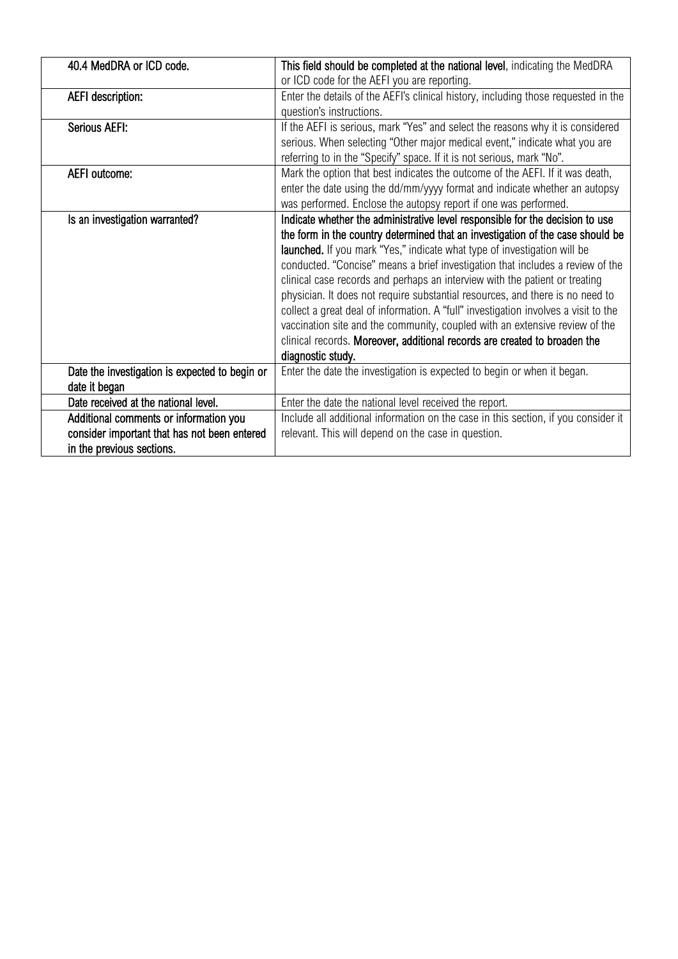| 40.4 MedDRA or ICD code.                       | This field should be completed at the national level, indicating the MedDRA         |
|------------------------------------------------|-------------------------------------------------------------------------------------|
|                                                | or ICD code for the AEFI you are reporting.                                         |
| <b>AEFI</b> description:                       | Enter the details of the AEFI's clinical history, including those requested in the  |
|                                                | question's instructions.                                                            |
| Serious AEFI:                                  | If the AEFI is serious, mark "Yes" and select the reasons why it is considered      |
|                                                | serious. When selecting "Other major medical event," indicate what you are          |
|                                                | referring to in the "Specify" space. If it is not serious, mark "No".               |
| AEFI outcome:                                  | Mark the option that best indicates the outcome of the AEFI. If it was death,       |
|                                                | enter the date using the dd/mm/yyyy format and indicate whether an autopsy          |
|                                                | was performed. Enclose the autopsy report if one was performed.                     |
| Is an investigation warranted?                 | Indicate whether the administrative level responsible for the decision to use       |
|                                                | the form in the country determined that an investigation of the case should be      |
|                                                | launched. If you mark "Yes," indicate what type of investigation will be            |
|                                                | conducted. "Concise" means a brief investigation that includes a review of the      |
|                                                | clinical case records and perhaps an interview with the patient or treating         |
|                                                | physician. It does not require substantial resources, and there is no need to       |
|                                                | collect a great deal of information. A "full" investigation involves a visit to the |
|                                                | vaccination site and the community, coupled with an extensive review of the         |
|                                                | clinical records. Moreover, additional records are created to broaden the           |
|                                                | diagnostic study.                                                                   |
| Date the investigation is expected to begin or | Enter the date the investigation is expected to begin or when it began.             |
| date it began                                  |                                                                                     |
| Date received at the national level.           | Enter the date the national level received the report.                              |
| Additional comments or information you         | Include all additional information on the case in this section, if you consider it  |
| consider important that has not been entered   | relevant. This will depend on the case in question.                                 |
| in the previous sections.                      |                                                                                     |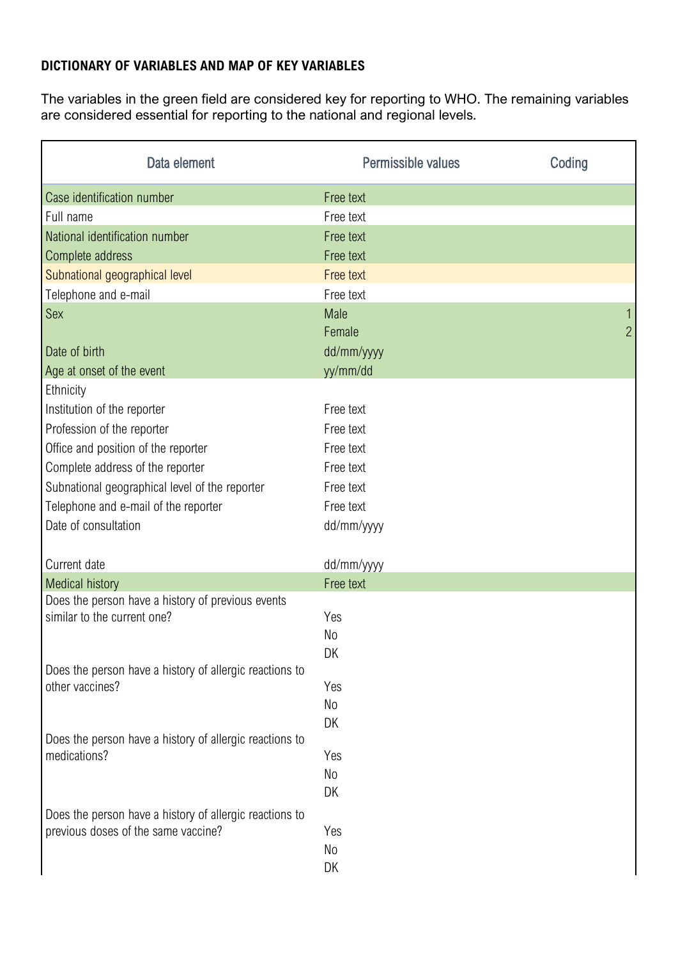## **DICTIONARY OF VARIABLES AND MAP OF KEY VARIABLES**

The variables in the green field are considered key for reporting to WHO. The remaining variables are considered essential for reporting to the national and regional levels.

| Data element                                            | Permissible values   | Coding         |
|---------------------------------------------------------|----------------------|----------------|
| Case identification number                              | Free text            |                |
| Full name                                               | Free text            |                |
| National identification number                          | Free text            |                |
| Complete address                                        | Free text            |                |
| Subnational geographical level                          | Free text            |                |
| Telephone and e-mail                                    | Free text            |                |
| Sex                                                     | <b>Male</b>          | $\mathbf{1}$   |
|                                                         | Female               | $\overline{2}$ |
| Date of birth                                           | dd/mm/yyyy           |                |
| Age at onset of the event                               | yy/mm/dd             |                |
| Ethnicity                                               |                      |                |
| Institution of the reporter                             | Free text            |                |
| Profession of the reporter                              | Free text            |                |
| Office and position of the reporter                     | Free text            |                |
| Complete address of the reporter                        | Free text            |                |
| Subnational geographical level of the reporter          | Free text            |                |
| Telephone and e-mail of the reporter                    | Free text            |                |
| Date of consultation                                    | dd/mm/yyyy           |                |
| Current date                                            | dd/mm/yyyy           |                |
| <b>Medical history</b>                                  | Free text            |                |
| Does the person have a history of previous events       |                      |                |
| similar to the current one?                             | Yes                  |                |
|                                                         | N <sub>0</sub><br>DK |                |
| Does the person have a history of allergic reactions to |                      |                |
| other vaccines?                                         | Yes                  |                |
|                                                         | No                   |                |
|                                                         | DK                   |                |
| Does the person have a history of allergic reactions to |                      |                |
| medications?                                            | Yes                  |                |
|                                                         | No                   |                |
|                                                         | DK                   |                |
| Does the person have a history of allergic reactions to |                      |                |
| previous doses of the same vaccine?                     | Yes                  |                |
|                                                         | No                   |                |
|                                                         | DK                   |                |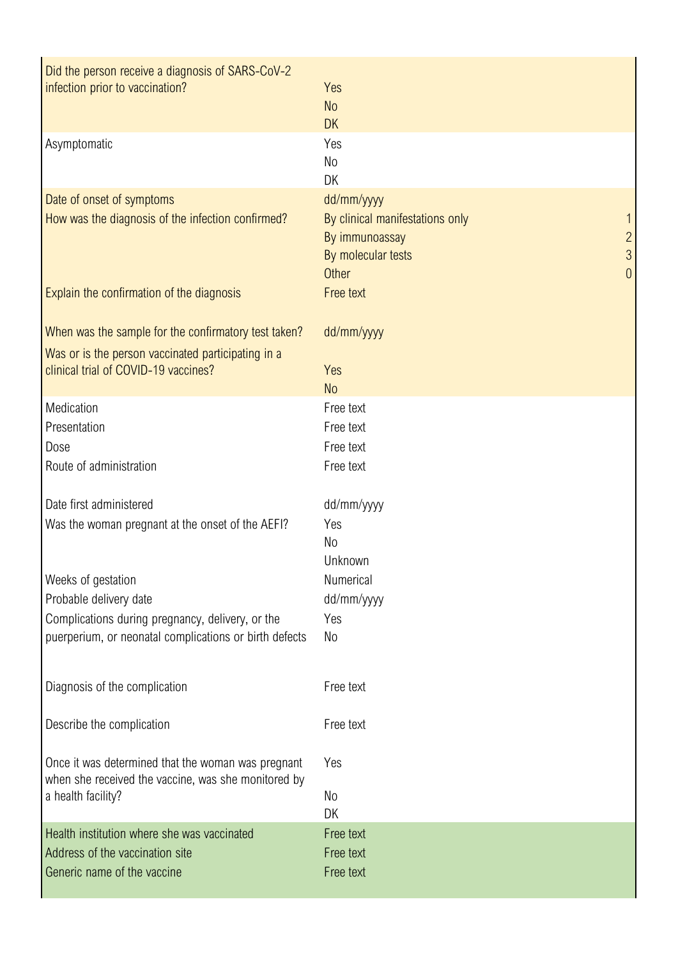| Did the person receive a diagnosis of SARS-CoV-2<br>infection prior to vaccination?                       | Yes<br><b>No</b><br><b>DK</b>                                                                                                                               |
|-----------------------------------------------------------------------------------------------------------|-------------------------------------------------------------------------------------------------------------------------------------------------------------|
| Asymptomatic                                                                                              | Yes<br>No<br>DK                                                                                                                                             |
| Date of onset of symptoms<br>How was the diagnosis of the infection confirmed?                            | dd/mm/yyyy<br>By clinical manifestations only<br>By immunoassay<br>$\overline{2}$<br>$\mathfrak{S}$<br>By molecular tests<br>$\overline{0}$<br><b>Other</b> |
| Explain the confirmation of the diagnosis                                                                 | Free text                                                                                                                                                   |
| When was the sample for the confirmatory test taken?                                                      | dd/mm/yyyy                                                                                                                                                  |
| Was or is the person vaccinated participating in a<br>clinical trial of COVID-19 vaccines?                | Yes<br><b>No</b>                                                                                                                                            |
| Medication                                                                                                | Free text                                                                                                                                                   |
| Presentation                                                                                              | Free text                                                                                                                                                   |
| Dose                                                                                                      | Free text                                                                                                                                                   |
| Route of administration                                                                                   | Free text                                                                                                                                                   |
| Date first administered                                                                                   | dd/mm/yyyy                                                                                                                                                  |
| Was the woman pregnant at the onset of the AEFI?                                                          | Yes<br>No<br>Unknown                                                                                                                                        |
| Weeks of gestation                                                                                        | Numerical                                                                                                                                                   |
| Probable delivery date                                                                                    | dd/mm/yyyy                                                                                                                                                  |
| Complications during pregnancy, delivery, or the                                                          | Yes                                                                                                                                                         |
| puerperium, or neonatal complications or birth defects                                                    | No                                                                                                                                                          |
| Diagnosis of the complication                                                                             | Free text                                                                                                                                                   |
| Describe the complication                                                                                 | Free text                                                                                                                                                   |
| Once it was determined that the woman was pregnant<br>when she received the vaccine, was she monitored by | Yes                                                                                                                                                         |
| a health facility?                                                                                        | No                                                                                                                                                          |
|                                                                                                           | DK                                                                                                                                                          |
| Health institution where she was vaccinated                                                               | Free text                                                                                                                                                   |
| Address of the vaccination site                                                                           | Free text                                                                                                                                                   |
| Generic name of the vaccine                                                                               | Free text                                                                                                                                                   |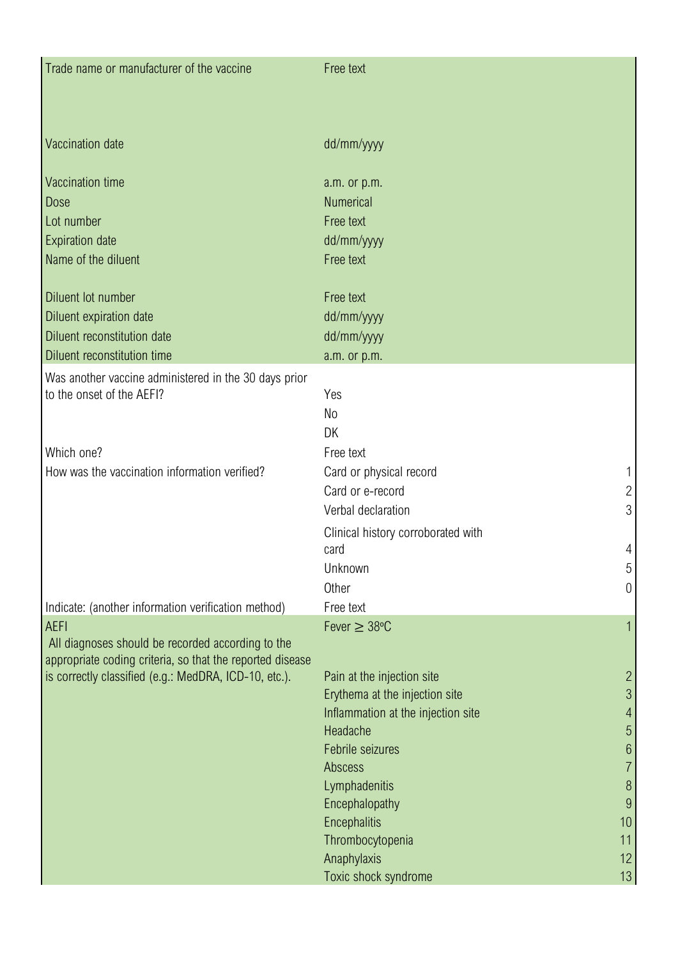| Trade name or manufacturer of the vaccine                 | Free text                                                            |                                  |
|-----------------------------------------------------------|----------------------------------------------------------------------|----------------------------------|
| Vaccination date                                          | dd/mm/yyyy                                                           |                                  |
| Vaccination time                                          | a.m. or p.m.                                                         |                                  |
| Dose                                                      | <b>Numerical</b>                                                     |                                  |
| Lot number                                                | Free text                                                            |                                  |
| <b>Expiration date</b>                                    | dd/mm/yyyy                                                           |                                  |
| Name of the diluent                                       | Free text                                                            |                                  |
| Diluent lot number                                        | Free text                                                            |                                  |
| Diluent expiration date                                   | dd/mm/yyyy                                                           |                                  |
| Diluent reconstitution date                               | dd/mm/yyyy                                                           |                                  |
| Diluent reconstitution time                               | a.m. or p.m.                                                         |                                  |
| Was another vaccine administered in the 30 days prior     |                                                                      |                                  |
| to the onset of the AEFI?                                 | Yes                                                                  |                                  |
|                                                           | No                                                                   |                                  |
|                                                           | DK                                                                   |                                  |
| Which one?                                                | Free text                                                            |                                  |
| How was the vaccination information verified?             | Card or physical record                                              | 1                                |
|                                                           | Card or e-record                                                     | $\overline{c}$                   |
|                                                           | Verbal declaration                                                   | 3                                |
|                                                           | Clinical history corroborated with<br>card                           | 4                                |
|                                                           | Unknown                                                              | 5                                |
|                                                           | Other                                                                | $\theta$                         |
| Indicate: (another information verification method)       | Free text                                                            |                                  |
| <b>AEFI</b>                                               | Fever $\geq 38^{\circ}$ C                                            | $\overline{1}$                   |
| All diagnoses should be recorded according to the         |                                                                      |                                  |
| appropriate coding criteria, so that the reported disease |                                                                      |                                  |
| is correctly classified (e.g.: MedDRA, ICD-10, etc.).     | Pain at the injection site                                           | $\overline{2}$<br>$\mathfrak{S}$ |
|                                                           | Erythema at the injection site<br>Inflammation at the injection site | $\overline{4}$                   |
|                                                           | Headache                                                             | $\overline{5}$                   |
|                                                           | Febrile seizures                                                     | $6\phantom{a}$                   |
|                                                           | Abscess                                                              | $\overline{7}$                   |
|                                                           | Lymphadenitis                                                        | $\, 8$                           |
|                                                           | Encephalopathy                                                       | 9                                |
|                                                           | Encephalitis                                                         | 10                               |
|                                                           | Thrombocytopenia                                                     | 11                               |
|                                                           | Anaphylaxis                                                          | 12                               |
|                                                           | Toxic shock syndrome                                                 | 13                               |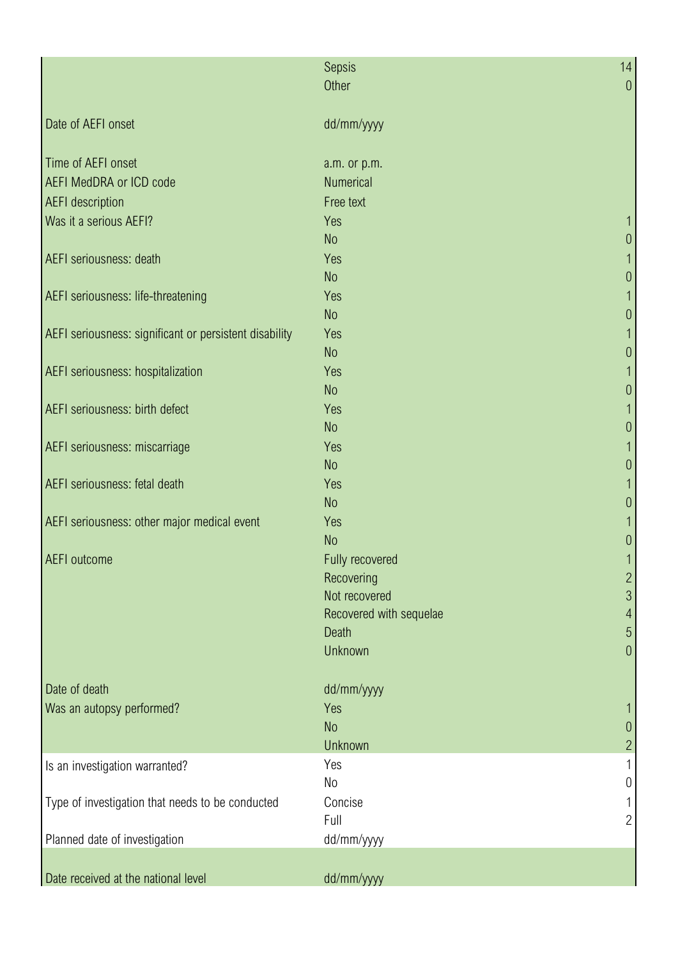|                                                        | Sepsis                  | 14             |
|--------------------------------------------------------|-------------------------|----------------|
|                                                        | Other                   | $\theta$       |
| Date of AEFI onset                                     | dd/mm/yyyy              |                |
| Time of AEFI onset                                     | a.m. or p.m.            |                |
| <b>AEFI MedDRA or ICD code</b>                         | <b>Numerical</b>        |                |
| <b>AEFI</b> description                                | Free text               |                |
| Was it a serious AEFI?                                 | Yes                     |                |
|                                                        | <b>No</b>               | U              |
| AEFI seriousness: death                                | Yes                     |                |
|                                                        | N <sub>o</sub>          | $\theta$       |
| AEFI seriousness: life-threatening                     | Yes                     |                |
|                                                        | N <sub>o</sub>          | $\theta$       |
| AEFI seriousness: significant or persistent disability | Yes                     |                |
|                                                        | N <sub>o</sub>          | $\theta$       |
| AEFI seriousness: hospitalization                      | Yes                     |                |
| AEFI seriousness: birth defect                         | <b>No</b>               | $\theta$       |
|                                                        | Yes<br><b>No</b>        |                |
| AEFI seriousness: miscarriage                          | Yes                     | $\theta$       |
|                                                        | N <sub>o</sub>          | $\theta$       |
| AEFI seriousness: fetal death                          | Yes                     |                |
|                                                        | N <sub>o</sub>          | $\theta$       |
| AEFI seriousness: other major medical event            | Yes                     |                |
|                                                        | N <sub>o</sub>          | $\theta$       |
| <b>AEFI</b> outcome                                    | Fully recovered         |                |
|                                                        | Recovering              | $\overline{c}$ |
|                                                        | Not recovered           | 3              |
|                                                        | Recovered with sequelae | 4              |
|                                                        | <b>Death</b>            | $\overline{5}$ |
|                                                        | Unknown                 | $\theta$       |
| Date of death                                          | dd/mm/yyyy              |                |
| Was an autopsy performed?                              | Yes                     |                |
|                                                        | N <sub>o</sub>          | $\theta$       |
|                                                        | Unknown                 | $\overline{c}$ |
| Is an investigation warranted?                         | Yes                     |                |
|                                                        | N <sub>0</sub>          | $\theta$       |
| Type of investigation that needs to be conducted       | Concise                 |                |
|                                                        | Full                    | $\overline{2}$ |
| Planned date of investigation                          | dd/mm/yyyy              |                |
|                                                        |                         |                |
| Date received at the national level                    | dd/mm/yyyy              |                |